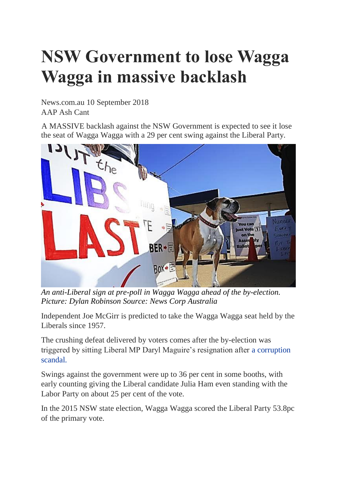## **NSW Government to lose Wagga Wagga in massive backlash**

News.com.au 10 September 2018 AAP Ash Cant

A MASSIVE backlash against the NSW Government is expected to see it lose the seat of Wagga Wagga with a 29 per cent swing against the Liberal Party.



*An anti-Liberal sign at pre-poll in Wagga Wagga ahead of the by-election. Picture: Dylan Robinson Source: News Corp Australia*

Independent Joe McGirr is predicted to take the Wagga Wagga seat held by the Liberals since 1957.

The crushing defeat delivered by voters comes after the by-election was triggered by sitting Liberal MP Daryl Maguire's resignation after a [corruption](https://www.news.com.au/national/nsw-act/politics/liberal-nsw-mp-daryl-maguire-resigns-after-corruption-hearing/news-story/cd4878c529ae5be28784fee71fbd44b7) [scandal.](https://www.news.com.au/national/nsw-act/politics/liberal-nsw-mp-daryl-maguire-resigns-after-corruption-hearing/news-story/cd4878c529ae5be28784fee71fbd44b7)

Swings against the government were up to 36 per cent in some booths, with early counting giving the Liberal candidate Julia Ham even standing with the Labor Party on about 25 per cent of the vote.

In the 2015 NSW state election, Wagga Wagga scored the Liberal Party 53.8pc of the primary vote.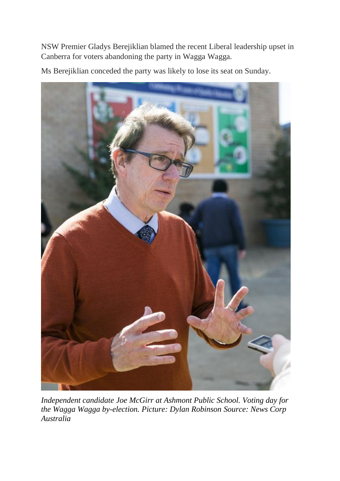NSW Premier Gladys Berejiklian blamed the recent Liberal leadership upset in Canberra for voters abandoning the party in Wagga Wagga.

Ms Berejiklian conceded the party was likely to lose its seat on Sunday.



*Independent candidate Joe McGirr at Ashmont Public School. Voting day for the Wagga Wagga by-election. Picture: Dylan Robinson Source: News Corp Australia*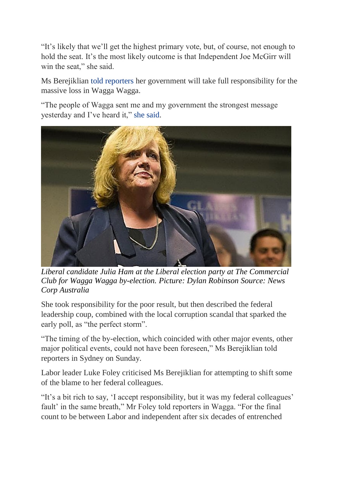"It's likely that we'll get the highest primary vote, but, of course, not enough to hold the seat. It's the most likely outcome is that Independent Joe McGirr will win the seat," she said.

Ms Berejiklian told [reporters](https://twitter.com/MWhitbourn/status/1038594486723440640) her government will take full responsibility for the massive loss in Wagga Wagga.

"The people of Wagga sent me and my government the strongest message yesterday and I've heard it," she [said.](https://twitter.com/brigidglanville/status/1038594006505086976)



*Liberal candidate Julia Ham at the Liberal election party at The Commercial Club for Wagga Wagga by-election. Picture: Dylan Robinson Source: News Corp Australia*

She took responsibility for the poor result, but then described the federal leadership coup, combined with the local corruption scandal that sparked the early poll, as "the perfect storm".

"The timing of the by-election, which coincided with other major events, other major political events, could not have been foreseen," Ms Berejiklian told reporters in Sydney on Sunday.

Labor leader Luke Foley criticised Ms Berejiklian for attempting to shift some of the blame to her federal colleagues.

"It's a bit rich to say, 'I accept responsibility, but it was my federal colleagues' fault' in the same breath," Mr Foley told reporters in Wagga. "For the final count to be between Labor and independent after six decades of entrenched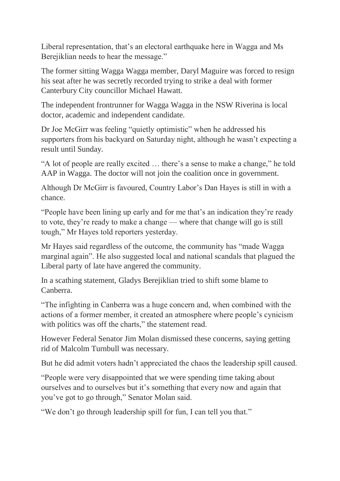Liberal representation, that's an electoral earthquake here in Wagga and Ms Berejiklian needs to hear the message."

The former sitting Wagga Wagga member, Daryl Maguire was forced to resign his seat after he was secretly recorded trying to strike a deal with former Canterbury City councillor Michael Hawatt.

The independent frontrunner for Wagga Wagga in the NSW Riverina is local doctor, academic and independent candidate.

Dr Joe McGirr was feeling "quietly optimistic" when he addressed his supporters from his backyard on Saturday night, although he wasn't expecting a result until Sunday.

"A lot of people are really excited … there's a sense to make a change," he told AAP in Wagga. The doctor will not join the coalition once in government.

Although Dr McGirr is favoured, Country Labor's Dan Hayes is still in with a chance.

"People have been lining up early and for me that's an indication they're ready to vote, they're ready to make a change — where that change will go is still tough," Mr Hayes told reporters yesterday.

Mr Hayes said regardless of the outcome, the community has "made Wagga marginal again". He also suggested local and national scandals that plagued the Liberal party of late have angered the community.

In a scathing statement, Gladys Berejiklian tried to shift some blame to Canberra.

"The infighting in Canberra was a huge concern and, when combined with the actions of a former member, it created an atmosphere where people's cynicism with politics was off the charts," the statement read.

However Federal Senator Jim Molan dismissed these concerns, saying getting rid of Malcolm Turnbull was necessary.

But he did admit voters hadn't appreciated the chaos the leadership spill caused.

"People were very disappointed that we were spending time taking about ourselves and to ourselves but it's something that every now and again that you've got to go through," Senator Molan said.

"We don't go through leadership spill for fun, I can tell you that."